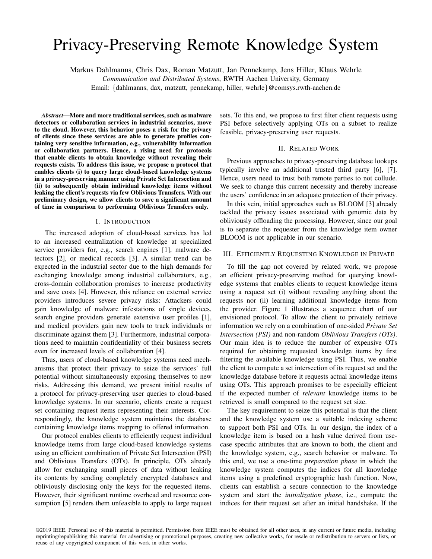# Privacy-Preserving Remote Knowledge System

Markus Dahlmanns, Chris Dax, Roman Matzutt, Jan Pennekamp, Jens Hiller, Klaus Wehrle

*Communication and Distributed Systems*, RWTH Aachen University, Germany

Email: {dahlmanns, dax, matzutt, pennekamp, hiller, wehrle}@comsys.rwth-aachen.de

*Abstract*—More and more traditional services, such as malware detectors or collaboration services in industrial scenarios, move to the cloud. However, this behavior poses a risk for the privacy of clients since these services are able to generate profiles containing very sensitive information, e.g., vulnerability information or collaboration partners. Hence, a rising need for protocols that enable clients to obtain knowledge without revealing their requests exists. To address this issue, we propose a protocol that enables clients (i) to query large cloud-based knowledge systems in a privacy-preserving manner using Private Set Intersection and (ii) to subsequently obtain individual knowledge items without leaking the client's requests via few Oblivious Transfers. With our preliminary design, we allow clients to save a significant amount of time in comparison to performing Oblivious Transfers only.

# I. INTRODUCTION

The increased adoption of cloud-based services has led to an increased centralization of knowledge at specialized service providers for, e.g., search engines [1], malware detectors [2], or medical records [3]. A similar trend can be expected in the industrial sector due to the high demands for exchanging knowledge among industrial collaborators, e.g., cross-domain collaboration promises to increase productivity and save costs [4]. However, this reliance on external service providers introduces severe privacy risks: Attackers could gain knowledge of malware infestations of single devices, search engine providers generate extensive user profiles [1], and medical providers gain new tools to track individuals or discriminate against them [3]. Furthermore, industrial corporations need to maintain confidentiality of their business secrets even for increased levels of collaboration [4].

Thus, users of cloud-based knowledge systems need mechanisms that protect their privacy to seize the services' full potential without simultaneously exposing themselves to new risks. Addressing this demand, we present initial results of a protocol for privacy-preserving user queries to cloud-based knowledge systems. In our scenario, clients create a request set containing request items representing their interests. Correspondingly, the knowledge system maintains the database containing knowledge items mapping to offered information.

Our protocol enables clients to efficiently request individual knowledge items from large cloud-based knowledge systems using an efficient combination of Private Set Intersection (PSI) and Oblivious Transfers (OTs). In principle, OTs already allow for exchanging small pieces of data without leaking its contents by sending completely encrypted databases and obliviously disclosing only the keys for the requested items. However, their significant runtime overhead and resource consumption [5] renders them unfeasible to apply to large request

sets. To this end, we propose to first filter client requests using PSI before selectively applying OTs on a subset to realize feasible, privacy-preserving user requests.

## II. RELATED WORK

Previous approaches to privacy-preserving database lookups typically involve an additional trusted third party [6], [7]. Hence, users need to trust both remote parties to not collude. We seek to change this current necessity and thereby increase the users' confidence in an adequate protection of their privacy.

In this vein, initial approaches such as BLOOM [3] already tackled the privacy issues associated with genomic data by obliviously offloading the processing. However, since our goal is to separate the requester from the knowledge item owner BLOOM is not applicable in our scenario.

### III. EFFICIENTLY REQUESTING KNOWLEDGE IN PRIVATE

To fill the gap not covered by related work, we propose an efficient privacy-preserving method for querying knowledge systems that enables clients to request knowledge items using a request set (i) without revealing anything about the requests nor (ii) learning additional knowledge items from the provider. Figure 1 illustrates a sequence chart of our envisioned protocol. To allow the client to privately retrieve information we rely on a combination of one-sided *Private Set Intersection (PSI)* and non-random *Oblivious Transfers (OTs)*. Our main idea is to reduce the number of expensive OTs required for obtaining requested knowledge items by first filtering the available knowledge using PSI. Thus, we enable the client to compute a set intersection of its request set and the knowledge database before it requests actual knowledge items using OTs. This approach promises to be especially efficient if the expected number of *relevant* knowledge items to be retrieved is small compared to the request set size.

The key requirement to seize this potential is that the client and the knowledge system use a suitable indexing scheme to support both PSI and OTs. In our design, the index of a knowledge item is based on a hash value derived from usecase specific attributes that are known to both, the client and the knowledge system, e.g., search behavior or malware. To this end, we use a one-time *preparation phase* in which the knowledge system computes the indices for all knowledge items using a predefined cryptographic hash function. Now, clients can establish a secure connection to the knowledge system and start the *initialization phase*, i.e., compute the indices for their request set after an initial handshake. If the

©2019 IEEE. Personal use of this material is permitted. Permission from IEEE must be obtained for all other uses, in any current or future media, including reprinting/republishing this material for advertising or promotional purposes, creating new collective works, for resale or redistribution to servers or lists, or reuse of any copyrighted component of this work in other works.